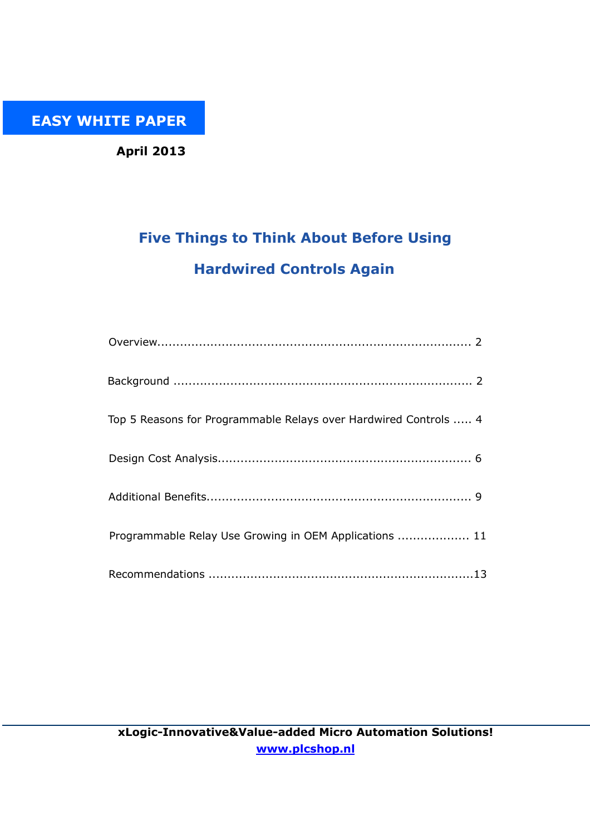EASY WHITE PAPER

April 2013

# Five Things to Think About Before Using Hardwired Controls Again

| Top 5 Reasons for Programmable Relays over Hardwired Controls  4 |
|------------------------------------------------------------------|
|                                                                  |
|                                                                  |
| Programmable Relay Use Growing in OEM Applications  11           |
|                                                                  |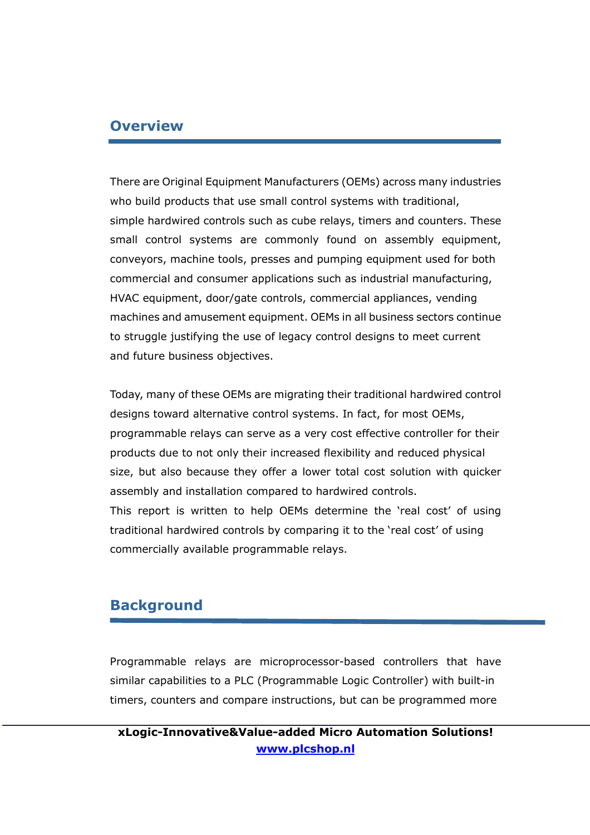### **Overview**

There are Original Equipment Manufacturers (OEMs) across many industries who build products that use small control systems with traditional, simple hardwired controls such as cube relays, timers and counters. These small control systems are commonly found on assembly equipment, conveyors, machine tools, presses and pumping equipment used for both commercial and consumer applications such as industrial manufacturing, HVAC equipment, door/gate controls, commercial appliances, vending machines and amusement equipment. OEMs in all business sectors continue to struggle justifying the use of legacy control designs to meet current and future business objectives.

Today, many of these OEMs are migrating their traditional hardwired control designs toward alternative control systems. In fact, for most OEMs, programmable relays can serve as a very cost effective controller for their products due to not only their increased flexibility and reduced physical size, but also because they offer a lower total cost solution with quicker assembly and installation compared to hardwired controls. This report is written to help OEMs determine the 'real cost' of using traditional hardwired controls by comparing it to the 'real cost' of using commercially available programmable relays.

### Background

Programmable relays are microprocessor-based controllers that have similar capabilities to a PLC (Programmable Logic Controller) with built-in timers, counters and compare instructions, but can be programmed more

xLogic-Innovative&Value-added Micro Automation Solutions! www.plcshop.nl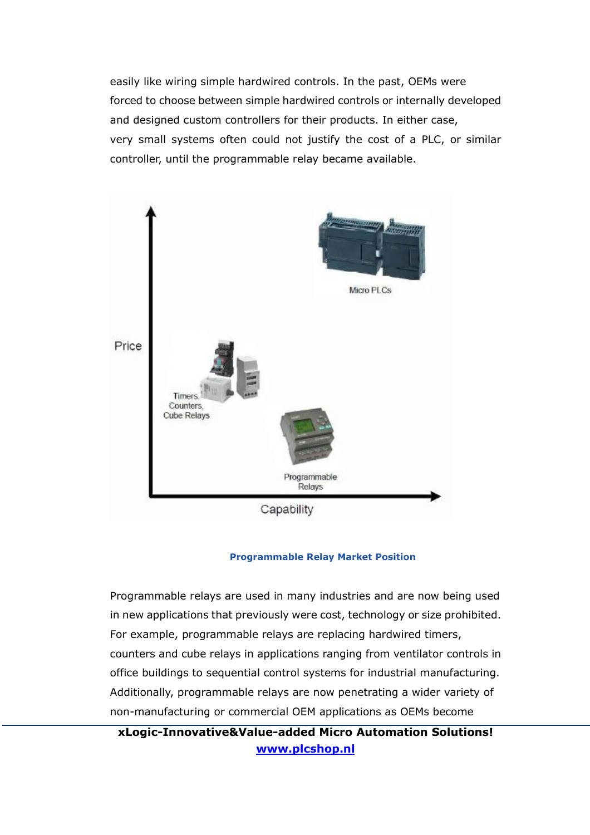easily like wiring simple hardwired controls. In the past, OEMs were forced to choose between simple hardwired controls or internally developed and designed custom controllers for their products. In either case, very small systems often could not justify the cost of a PLC, or similar controller, until the programmable relay became available.



#### Programmable Relay Market Position

Programmable relays are used in many industries and are now being used in new applications that previously were cost, technology or size prohibited. For example, programmable relays are replacing hardwired timers, counters and cube relays in applications ranging from ventilator controls in office buildings to sequential control systems for industrial manufacturing. Additionally, programmable relays are now penetrating a wider variety of non-manufacturing or commercial OEM applications as OEMs become

xLogic-Innovative&Value-added Micro Automation Solutions! www.plcshop.nl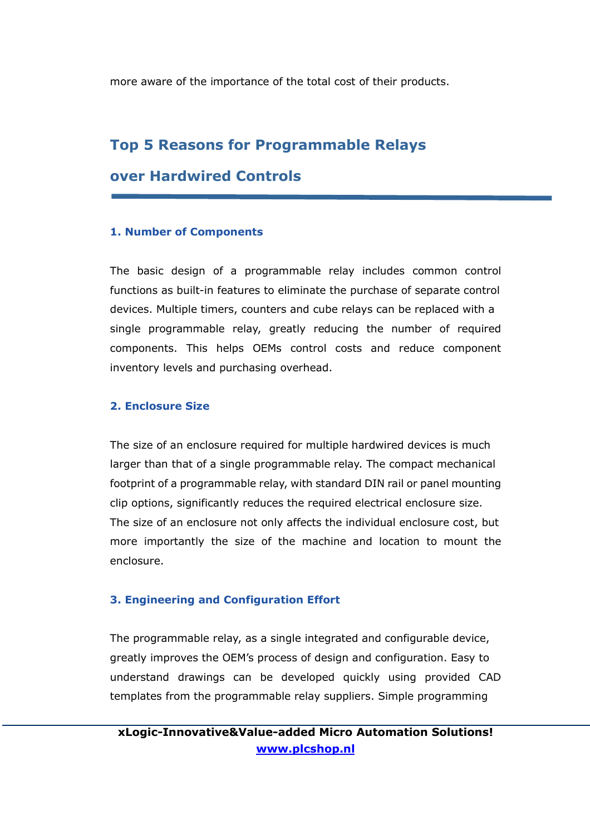more aware of the importance of the total cost of their products.

### Top 5 Reasons for Programmable Relays

### over Hardwired Controls

#### 1. Number of Components

The basic design of a programmable relay includes common control functions as built-in features to eliminate the purchase of separate control devices. Multiple timers, counters and cube relays can be replaced with a single programmable relay, greatly reducing the number of required components. This helps OEMs control costs and reduce component inventory levels and purchasing overhead.

#### 2. Enclosure Size

The size of an enclosure required for multiple hardwired devices is much larger than that of a single programmable relay. The compact mechanical footprint of a programmable relay, with standard DIN rail or panel mounting clip options, significantly reduces the required electrical enclosure size. The size of an enclosure not only affects the individual enclosure cost, but more importantly the size of the machine and location to mount the enclosure.

#### 3. Engineering and Configuration Effort

The programmable relay, as a single integrated and configurable device, greatly improves the OEM's process of design and configuration. Easy to understand drawings can be developed quickly using provided CAD templates from the programmable relay suppliers. Simple programming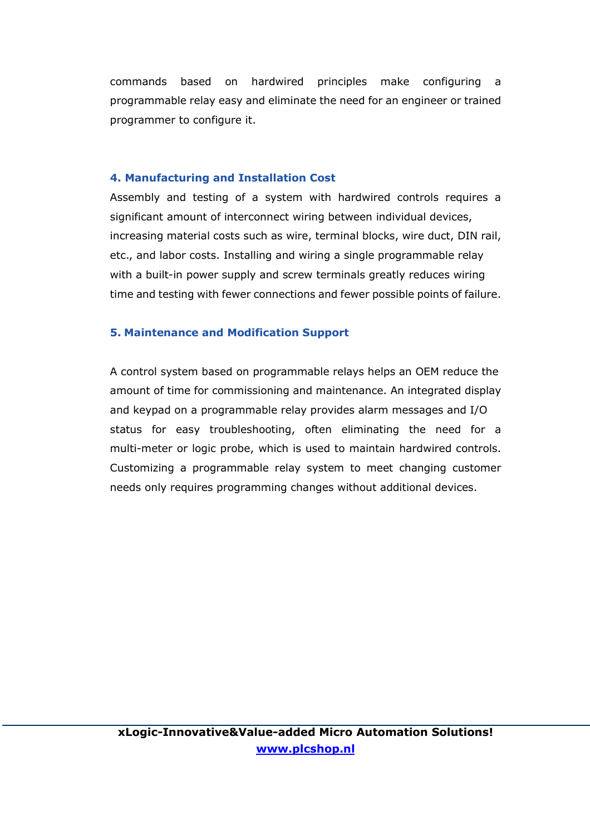commands based on hardwired principles make configuring a programmable relay easy and eliminate the need for an engineer or trained programmer to configure it.

#### 4. Manufacturing and Installation Cost

Assembly and testing of a system with hardwired controls requires a significant amount of interconnect wiring between individual devices, increasing material costs such as wire, terminal blocks, wire duct, DIN rail, etc., and labor costs. Installing and wiring a single programmable relay with a built-in power supply and screw terminals greatly reduces wiring time and testing with fewer connections and fewer possible points of failure.

#### 5. Maintenance and Modification Support

A control system based on programmable relays helps an OEM reduce the amount of time for commissioning and maintenance. An integrated display and keypad on a programmable relay provides alarm messages and I/O status for easy troubleshooting, often eliminating the need for a multi-meter or logic probe, which is used to maintain hardwired controls. Customizing a programmable relay system to meet changing customer needs only requires programming changes without additional devices.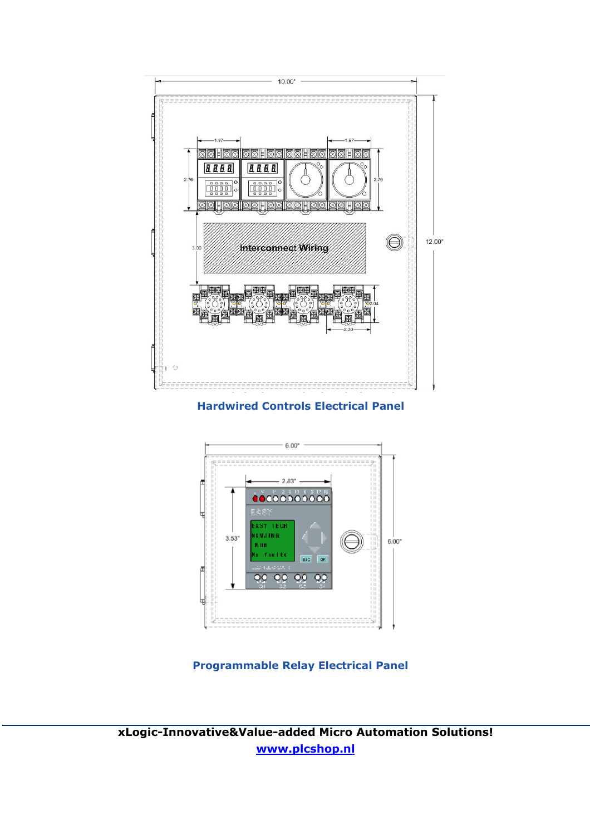

Hardwired Controls Electrical Panel



Programmable Relay Electrical Panel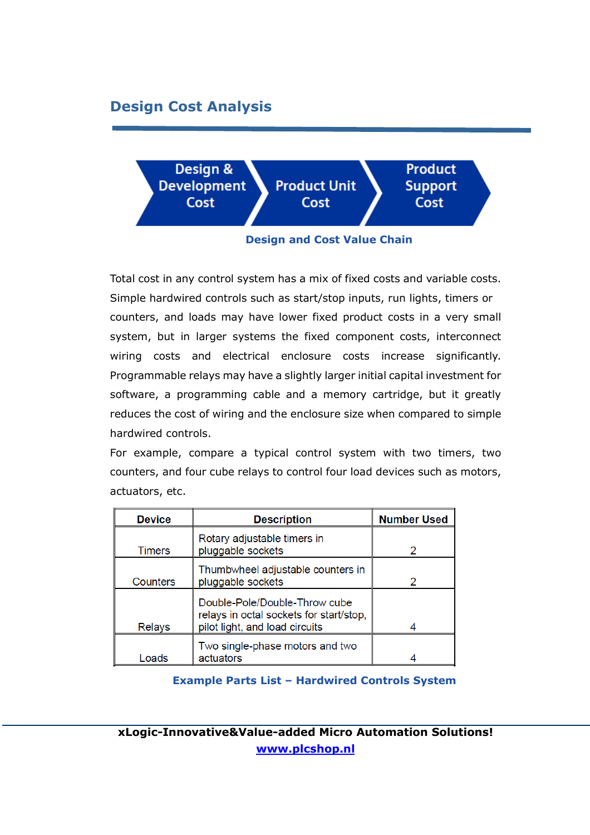# Design Cost Analysis



Design and Cost Value Chain

Total cost in any control system has a mix of fixed costs and variable costs. Simple hardwired controls such as start/stop inputs, run lights, timers or counters, and loads may have lower fixed product costs in a very small system, but in larger systems the fixed component costs, interconnect wiring costs and electrical enclosure costs increase significantly. Programmable relays may have a slightly larger initial capital investment for software, a programming cable and a memory cartridge, but it greatly reduces the cost of wiring and the enclosure size when compared to simple hardwired controls.

For example, compare a typical control system with two timers, two counters, and four cube relays to control four load devices such as motors, actuators, etc.

| <b>Device</b> | <b>Description</b>                                                                                         | <b>Number Used</b> |
|---------------|------------------------------------------------------------------------------------------------------------|--------------------|
| Timers        | Rotary adjustable timers in<br>pluggable sockets                                                           | $\mathcal{P}$      |
| Counters      | Thumbwheel adjustable counters in<br>pluggable sockets                                                     |                    |
| Relays        | Double-Pole/Double-Throw cube<br>relays in octal sockets for start/stop,<br>pilot light, and load circuits |                    |
|               |                                                                                                            |                    |
|               | Two single-phase motors and two                                                                            |                    |
| Loads         | actuators                                                                                                  |                    |

#### Example Parts List – Hardwired Controls System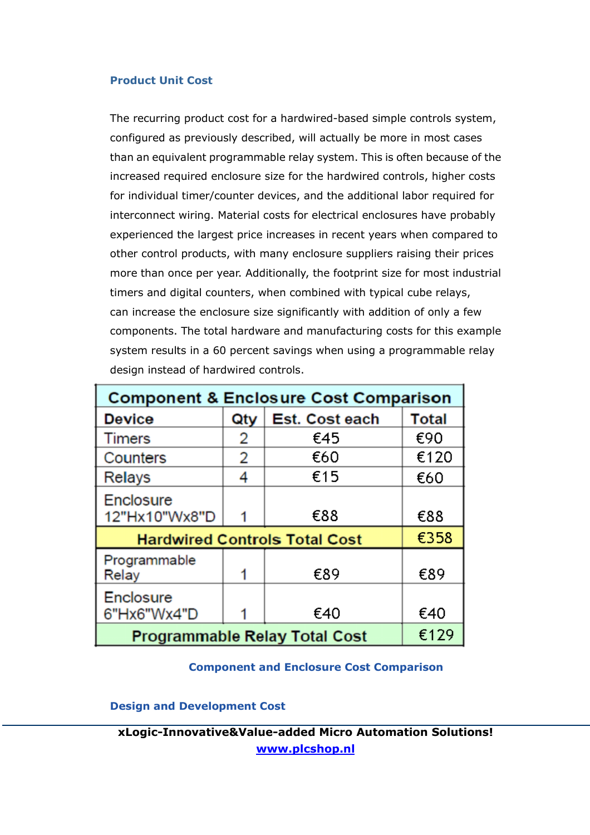#### Product Unit Cost

The recurring product cost for a hardwired-based simple controls system, configured as previously described, will actually be more in most cases than an equivalent programmable relay system. This is often because of the increased required enclosure size for the hardwired controls, higher costs for individual timer/counter devices, and the additional labor required for interconnect wiring. Material costs for electrical enclosures have probably experienced the largest price increases in recent years when compared to other control products, with many enclosure suppliers raising their prices more than once per year. Additionally, the footprint size for most industrial timers and digital counters, when combined with typical cube relays, can increase the enclosure size significantly with addition of only a few components. The total hardware and manufacturing costs for this example system results in a 60 percent savings when using a programmable relay design instead of hardwired controls.

| <b>Component &amp; Enclosure Cost Comparison</b> |      |                |       |  |  |  |
|--------------------------------------------------|------|----------------|-------|--|--|--|
| <b>Device</b>                                    | Qty  | Est. Cost each | Total |  |  |  |
| <b>Timers</b>                                    | 2    | €45            | €90   |  |  |  |
| Counters                                         | 2    | €60            | €120  |  |  |  |
| Relays                                           | 4    | €15            | €60   |  |  |  |
| <b>Enclosure</b><br>12"Hx10"Wx8"D                |      | €88            | €88   |  |  |  |
| €358<br><b>Hardwired Controls Total Cost</b>     |      |                |       |  |  |  |
| Programmable<br>Relay                            |      | €89            | €89   |  |  |  |
| <b>Enclosure</b><br>6"Hx6"Wx4"D                  |      | €40            | €40   |  |  |  |
| <b>Programmable Relay Total Cost</b>             | €129 |                |       |  |  |  |

#### **Component and Enclosure Cost Comparison**

Design and Development Cost

xLogic-Innovative&Value-added Micro Automation Solutions! www.plcshop.nl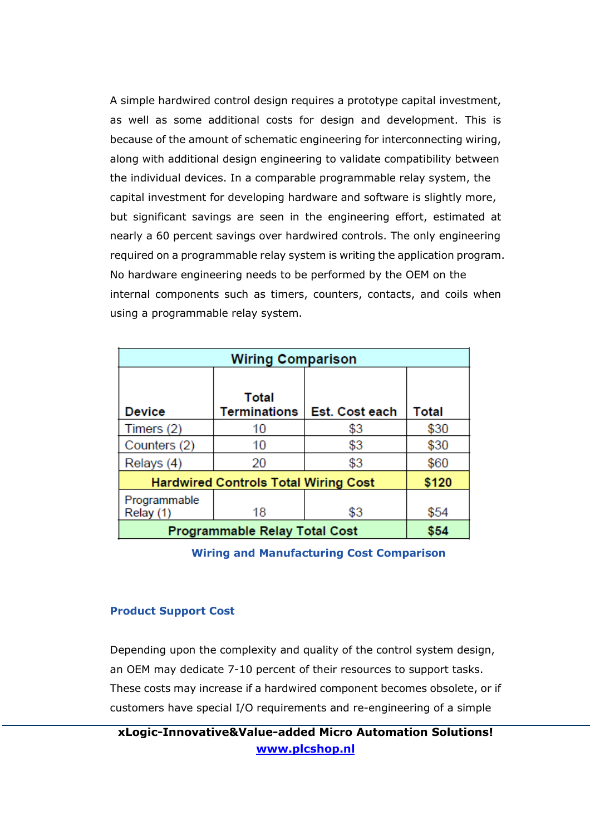A simple hardwired control design requires a prototype capital investment, as well as some additional costs for design and development. This is because of the amount of schematic engineering for interconnecting wiring, along with additional design engineering to validate compatibility between the individual devices. In a comparable programmable relay system, the capital investment for developing hardware and software is slightly more, but significant savings are seen in the engineering effort, estimated at nearly a 60 percent savings over hardwired controls. The only engineering required on a programmable relay system is writing the application program. No hardware engineering needs to be performed by the OEM on the internal components such as timers, counters, contacts, and coils when using a programmable relay system.

| <b>Wiring Comparison</b>                    |                                     |                |       |  |  |  |
|---------------------------------------------|-------------------------------------|----------------|-------|--|--|--|
| <b>Device</b>                               | <b>Total</b><br><b>Terminations</b> | Est. Cost each | Total |  |  |  |
| Timers (2)                                  | 10                                  | \$3            | \$30  |  |  |  |
| Counters (2)                                | 10                                  | \$3            | \$30  |  |  |  |
| Relays (4)                                  | 20                                  | \$3            | \$60  |  |  |  |
| <b>Hardwired Controls Total Wiring Cost</b> | \$120                               |                |       |  |  |  |
| Programmable<br>Relay (1)                   | 18                                  | \$3            | \$54  |  |  |  |
| <b>Programmable Relay Total Cost</b>        | \$54                                |                |       |  |  |  |

Wiring and Manufacturing Cost Comparison

#### Product Support Cost

Depending upon the complexity and quality of the control system design, an OEM may dedicate 7-10 percent of their resources to support tasks. These costs may increase if a hardwired component becomes obsolete, or if customers have special I/O requirements and re-engineering of a simple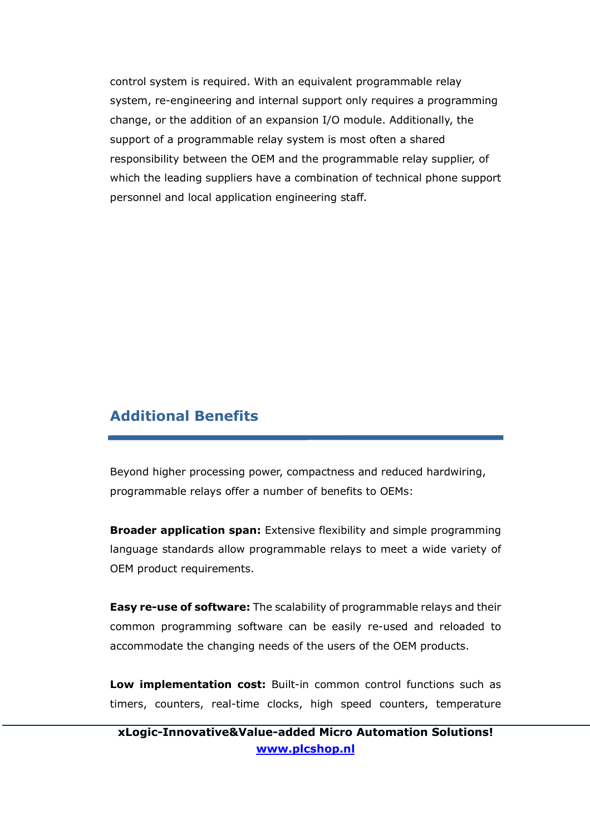control system is required. With an equivalent programmable relay system, re-engineering and internal support only requires a programming change, or the addition of an expansion I/O module. Additionally, the support of a programmable relay system is most often a shared responsibility between the OEM and the programmable relay supplier, of which the leading suppliers have a combination of technical phone support personnel and local application engineering staff.

### Additional Benefits

Beyond higher processing power, compactness and reduced hardwiring, programmable relays offer a number of benefits to OEMs:

**Broader application span:** Extensive flexibility and simple programming language standards allow programmable relays to meet a wide variety of OEM product requirements.

**Easy re-use of software:** The scalability of programmable relays and their common programming software can be easily re-used and reloaded to accommodate the changing needs of the users of the OEM products.

Low implementation cost: Built-in common control functions such as timers, counters, real-time clocks, high speed counters, temperature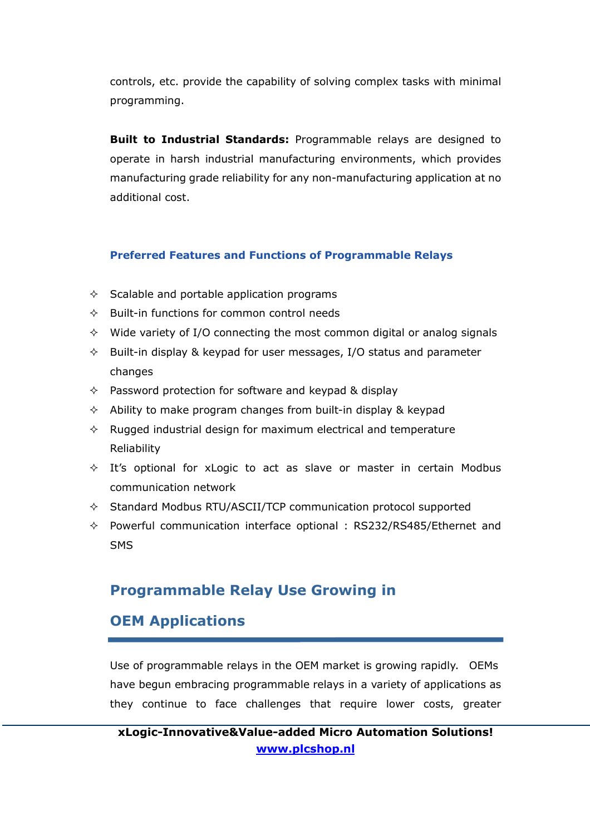controls, etc. provide the capability of solving complex tasks with minimal programming.

**Built to Industrial Standards:** Programmable relays are designed to operate in harsh industrial manufacturing environments, which provides manufacturing grade reliability for any non-manufacturing application at no additional cost.

#### Preferred Features and Functions of Programmable Relays

- $\Diamond$  Scalable and portable application programs
- $\Diamond$  Built-in functions for common control needs
- $\Diamond$  Wide variety of I/O connecting the most common digital or analog signals
- $\Diamond$  Built-in display & keypad for user messages, I/O status and parameter changes
- $\Diamond$  Password protection for software and keypad & display
- $\Diamond$  Ability to make program changes from built-in display & keypad
- $\Diamond$  Rugged industrial design for maximum electrical and temperature Reliability
- $\Diamond$  It's optional for xLogic to act as slave or master in certain Modbus communication network
- $\Diamond$  Standard Modbus RTU/ASCII/TCP communication protocol supported
- $\Diamond$  Powerful communication interface optional : RS232/RS485/Ethernet and SMS

## Programmable Relay Use Growing in

# OEM Applications

Use of programmable relays in the OEM market is growing rapidly. OEMs have begun embracing programmable relays in a variety of applications as they continue to face challenges that require lower costs, greater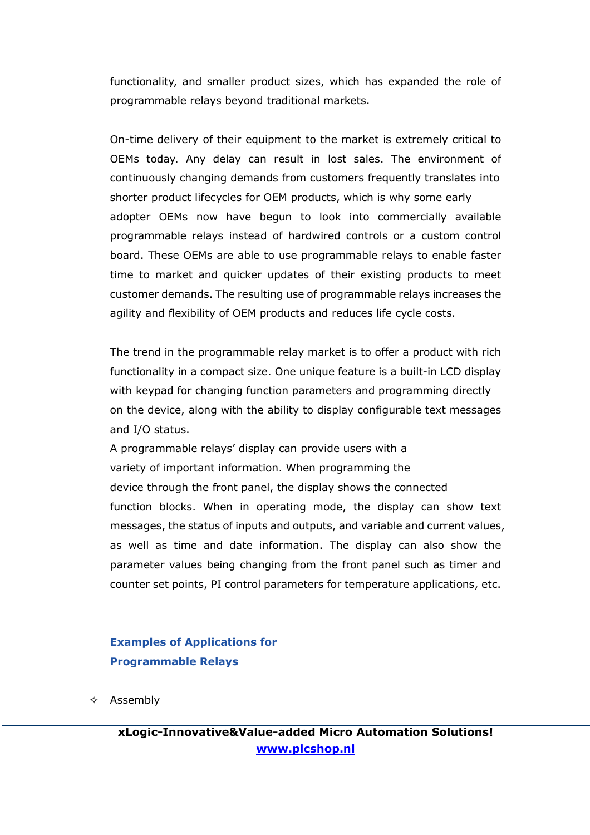functionality, and smaller product sizes, which has expanded the role of programmable relays beyond traditional markets.

On-time delivery of their equipment to the market is extremely critical to OEMs today. Any delay can result in lost sales. The environment of continuously changing demands from customers frequently translates into shorter product lifecycles for OEM products, which is why some early adopter OEMs now have begun to look into commercially available programmable relays instead of hardwired controls or a custom control board. These OEMs are able to use programmable relays to enable faster time to market and quicker updates of their existing products to meet customer demands. The resulting use of programmable relays increases the agility and flexibility of OEM products and reduces life cycle costs.

The trend in the programmable relay market is to offer a product with rich functionality in a compact size. One unique feature is a built-in LCD display with keypad for changing function parameters and programming directly on the device, along with the ability to display configurable text messages and I/O status.

A programmable relays' display can provide users with a variety of important information. When programming the device through the front panel, the display shows the connected function blocks. When in operating mode, the display can show text messages, the status of inputs and outputs, and variable and current values, as well as time and date information. The display can also show the parameter values being changing from the front panel such as timer and counter set points, PI control parameters for temperature applications, etc.

### Examples of Applications for Programmable Relays

 $\Leftrightarrow$  Assembly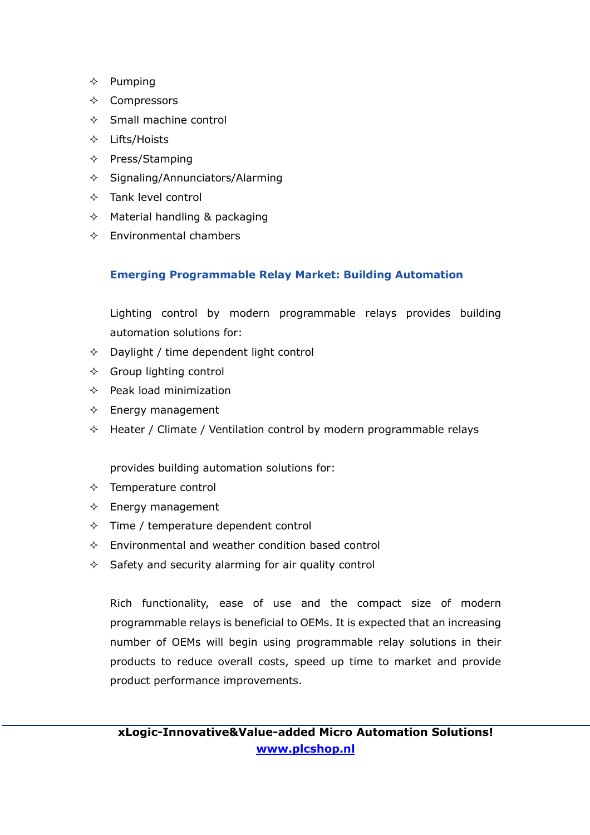- $\Leftrightarrow$  Pumping
- $\Leftrightarrow$  Compressors
- $\Diamond$  Small machine control
- $\div$  Lifts/Hoists
- $\Diamond$  Press/Stamping
- $\diamond$  Signaling/Annunciators/Alarming
- $\Diamond$  Tank level control
- $\Diamond$  Material handling & packaging
- $\Diamond$  Environmental chambers

#### Emerging Programmable Relay Market: Building Automation

Lighting control by modern programmable relays provides building automation solutions for:

- $\Diamond$  Daylight / time dependent light control
- $\Diamond$  Group lighting control
- $\Leftrightarrow$  Peak load minimization
- $\Diamond$  Energy management
- $\Diamond$  Heater / Climate / Ventilation control by modern programmable relays

provides building automation solutions for:

- $\Diamond$  Temperature control
- $\Diamond$  Energy management
- $\Diamond$  Time / temperature dependent control
- $\Diamond$  Environmental and weather condition based control
- $\Diamond$  Safety and security alarming for air quality control

Rich functionality, ease of use and the compact size of modern programmable relays is beneficial to OEMs. It is expected that an increasing number of OEMs will begin using programmable relay solutions in their products to reduce overall costs, speed up time to market and provide product performance improvements.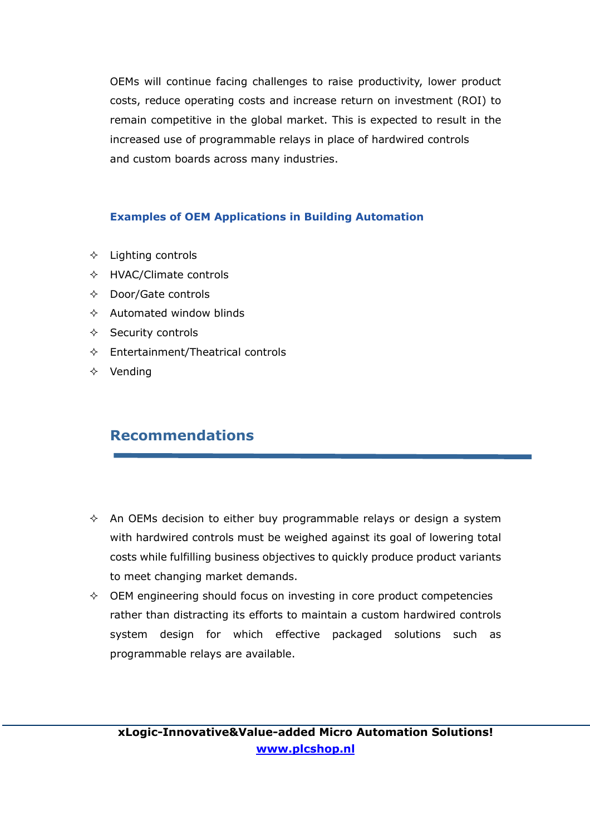OEMs will continue facing challenges to raise productivity, lower product costs, reduce operating costs and increase return on investment (ROI) to remain competitive in the global market. This is expected to result in the increased use of programmable relays in place of hardwired controls and custom boards across many industries.

### Examples of OEM Applications in Building Automation

- $\Diamond$  Lighting controls
- $\Diamond$  HVAC/Climate controls
- $\Diamond$  Door/Gate controls
- $\Diamond$  Automated window blinds
- $\Diamond$  Security controls
- $\Diamond$  Entertainment/Theatrical controls
- $\Leftrightarrow$  Vending

# Recommendations

- $\Diamond$  An OEMs decision to either buy programmable relays or design a system with hardwired controls must be weighed against its goal of lowering total costs while fulfilling business objectives to quickly produce product variants to meet changing market demands.
- $\Diamond$  OEM engineering should focus on investing in core product competencies rather than distracting its efforts to maintain a custom hardwired controls system design for which effective packaged solutions such as programmable relays are available.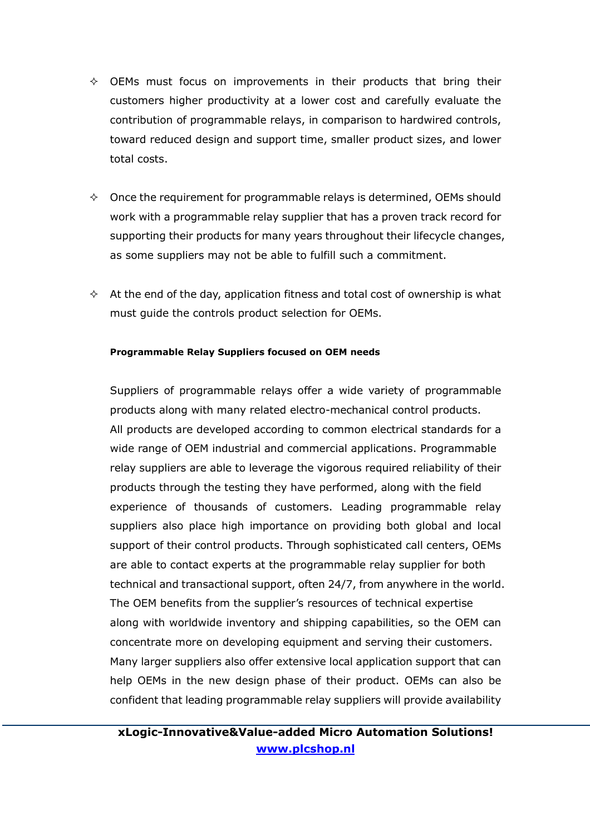- $\diamond$  OEMs must focus on improvements in their products that bring their customers higher productivity at a lower cost and carefully evaluate the contribution of programmable relays, in comparison to hardwired controls, toward reduced design and support time, smaller product sizes, and lower total costs.
- $\Diamond$  Once the requirement for programmable relays is determined, OEMs should work with a programmable relay supplier that has a proven track record for supporting their products for many years throughout their lifecycle changes, as some suppliers may not be able to fulfill such a commitment.
- $\Diamond$  At the end of the day, application fitness and total cost of ownership is what must guide the controls product selection for OEMs.

#### Programmable Relay Suppliers focused on OEM needs

Suppliers of programmable relays offer a wide variety of programmable products along with many related electro-mechanical control products. All products are developed according to common electrical standards for a wide range of OEM industrial and commercial applications. Programmable relay suppliers are able to leverage the vigorous required reliability of their products through the testing they have performed, along with the field experience of thousands of customers. Leading programmable relay suppliers also place high importance on providing both global and local support of their control products. Through sophisticated call centers, OEMs are able to contact experts at the programmable relay supplier for both technical and transactional support, often 24/7, from anywhere in the world. The OEM benefits from the supplier's resources of technical expertise along with worldwide inventory and shipping capabilities, so the OEM can concentrate more on developing equipment and serving their customers. Many larger suppliers also offer extensive local application support that can help OEMs in the new design phase of their product. OEMs can also be confident that leading programmable relay suppliers will provide availability